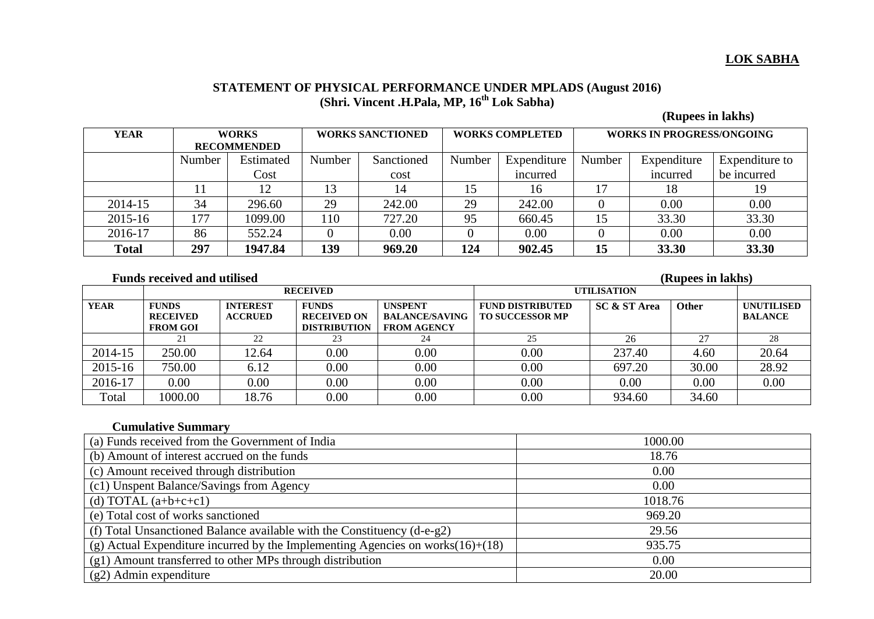## **LOK SABHA**

#### **STATEMENT OF PHYSICAL PERFORMANCE UNDER MPLADS (August 2016) (Shri. Vincent .H.Pala, MP, 16 th Lok Sabha)**

 **(Rupees in lakhs)** 

| <b>YEAR</b>  | <b>WORKS</b>       |           | <b>WORKS SANCTIONED</b> |            | <b>WORKS COMPLETED</b> |             | <b>WORKS IN PROGRESS/ONGOING</b> |             |                |
|--------------|--------------------|-----------|-------------------------|------------|------------------------|-------------|----------------------------------|-------------|----------------|
|              | <b>RECOMMENDED</b> |           |                         |            |                        |             |                                  |             |                |
|              | Number             | Estimated | Number                  | Sanctioned | Number                 | Expenditure | Number                           | Expenditure | Expenditure to |
|              |                    | Cost      |                         | cost       |                        | incurred    |                                  | incurred    | be incurred    |
|              |                    | 12        |                         |            | 15                     | 16          |                                  | 18          | 19             |
| 2014-15      | 34                 | 296.60    | 29                      | 242.00     | 29                     | 242.00      |                                  | 0.00        | 0.00           |
| 2015-16      | 177                | 1099.00   | 110                     | 727.20     | 95                     | 660.45      | 15                               | 33.30       | 33.30          |
| 2016-17      | 86                 | 552.24    |                         | 0.00       |                        | 0.00        |                                  | 0.00        | 0.00           |
| <b>Total</b> | 297                | 1947.84   | 139                     | 969.20     | 124                    | 902.45      | 15                               | 33.30       | 33.30          |

### **Funds received and utilised (Rupees in lakhs)** (Rupees in lakhs)

|             |                                 |                                   | <b>RECEIVED</b>                    |                                         | <b>UTILISATION</b>                                |                         |       |                                     |
|-------------|---------------------------------|-----------------------------------|------------------------------------|-----------------------------------------|---------------------------------------------------|-------------------------|-------|-------------------------------------|
| <b>YEAR</b> | <b>FUNDS</b><br><b>RECEIVED</b> | <b>INTEREST</b><br><b>ACCRUED</b> | <b>FUNDS</b><br><b>RECEIVED ON</b> | <b>UNSPENT</b><br><b>BALANCE/SAVING</b> | <b>FUND DISTRIBUTED</b><br><b>TO SUCCESSOR MP</b> | <b>SC &amp; ST Area</b> | Other | <b>UNUTILISED</b><br><b>BALANCE</b> |
|             | <b>FROM GOI</b>                 |                                   | <b>DISTRIBUTION</b>                | <b>FROM AGENCY</b>                      |                                                   |                         |       |                                     |
|             | 21                              | 22                                | 23                                 | 24                                      | 25                                                | 26                      | 27    | 28                                  |
| 2014-15     | 250.00                          | 12.64                             | 0.00                               | 0.00                                    | 0.00                                              | 237.40                  | 4.60  | 20.64                               |
| 2015-16     | 750.00                          | 6.12                              | 0.00                               | 0.00                                    | 0.00                                              | 697.20                  | 30.00 | 28.92                               |
| 2016-17     | 0.00                            | 0.00                              | 0.00                               | 0.00                                    | 0.00                                              | 0.00                    | 0.00  | 0.00                                |
| Total       | 1000.00                         | 18.76                             | 0.00                               | 0.00                                    | 0.00                                              | 934.60                  | 34.60 |                                     |

# **Cumulative Summary**

| 1000.00 |
|---------|
| 18.76   |
| 0.00    |
| 0.00    |
| 1018.76 |
| 969.20  |
| 29.56   |
| 935.75  |
| 0.00    |
| 20.00   |
|         |